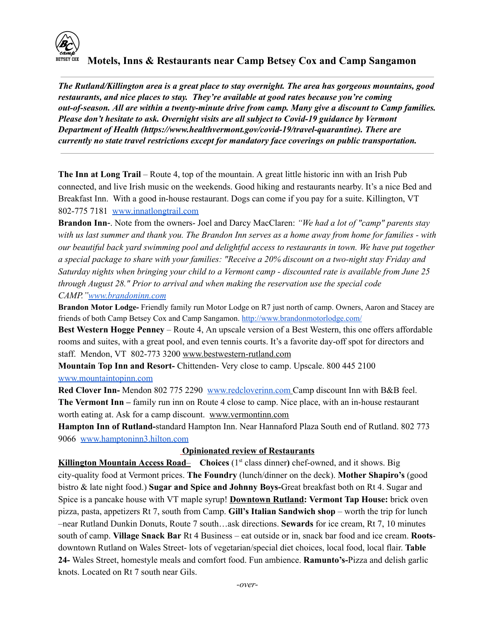

## **Motels, Inns & Restaurants near Camp Betsey Cox and Camp Sangamon**

*The Rutland/Killington area is a great place to stay overnight. The area has gorgeous mountains, good restaurants, and nice places to stay. They're available at good rates because you're coming out-of-season. All are within a twenty-minute drive from camp. Many give a discount to Camp families. Please don't hesitate to ask. Overnight visits are all subject to Covid-19 guidance by Vermont Department of Health (https://www.healthvermont.gov/covid-19/travel-quarantine). There are currently no state travel restrictions except for mandatory face coverings on public transportation.*

**The Inn at Long Trail** – Route 4, top of the mountain. A great little historic inn with an Irish Pub connected, and live Irish music on the weekends. Good hiking and restaurants nearby. It's a nice Bed and Breakfast Inn. With a good in-house restaurant. Dogs can come if you pay for a suite. Killington, VT 802-775 7181 [www.innatlongtrail.com](http://www.innatlongtrail.com/)

**Brandon Inn**-. Note from the owners- Joel and Darcy MacClaren: *"We had a lot of "camp" parents stay* with us last summer and thank you. The Brandon Inn serves as a home away from home for families - with *our beautiful back yard swimming pool and delightful access to restaurants in town. We have put together* a special package to share with your families: "Receive a 20% discount on a two-night stay Friday and Saturday nights when bringing your child to a Vermont camp - discounted rate is available from June 25 *through August 28." Prior to arrival and when making the reservation use the special code CAMP."[www.brandoninn.com](http://www.brandoninn.com/)*

**Brandon Motor Lodge-** Friendly family run Motor Lodge on R7 just north of camp. Owners, Aaron and Stacey are friends of both Camp Betsey Cox and Camp Sangamon. <http://www.brandonmotorlodge.com/>

**Best Western Hogge Penney** – Route 4, An upscale version of a Best Western, this one offers affordable rooms and suites, with a great pool, and even tennis courts. It's a favorite day-off spot for directors and staff. Mendon, VT 802-773 3200 www.bestwestern-rutland.com

**Mountain Top Inn and Resort-** Chittenden- Very close to camp. Upscale. 800 445 2100 [www.mountaintopinn.com](http://www.mountaintopinn.com/)

**Red Clover Inn-** Mendon 802 775 2290 [www.redcloverinn.com](http://www.redcloverinn.com/) Camp discount Inn with B&B feel. **The Vermont Inn –** family run inn on Route 4 close to camp. Nice place, with an in-house restaurant worth eating at. Ask for a camp discount. www.vermontinn.com

**Hampton Inn of Rutland-**standard Hampton Inn. Near Hannaford Plaza South end of Rutland. 802 773 9066 [www.hamptoninn3.hilton.com](http://www.hamptoninn3.hilton.com/)

## **Opinionated review of Restaurants**

**Killington Mountain Access Road**– **Choices** (1 st class dinner**)** chef-owned, and it shows. Big city-quality food at Vermont prices. **The Foundry** (lunch/dinner on the deck). **Mother Shapiro's** (good bistro & late night food.) **Sugar and Spice and Johnny Boys-**Great breakfast both on Rt 4. Sugar and Spice is a pancake house with VT maple syrup! **Downtown Rutland: Vermont Tap House:** brick oven pizza, pasta, appetizers Rt 7, south from Camp. **Gill's Italian Sandwich shop** – worth the trip for lunch –near Rutland Dunkin Donuts, Route 7 south…ask directions. **Sewards** for ice cream, Rt 7, 10 minutes south of camp. **Village Snack Bar** Rt 4 Business – eat outside or in, snack bar food and ice cream. **Roots**downtown Rutland on Wales Street- lots of vegetarian/special diet choices, local food, local flair. **Table 24-** Wales Street, homestyle meals and comfort food. Fun ambience. **Ramunto's-**Pizza and delish garlic knots. Located on Rt 7 south near Gils.